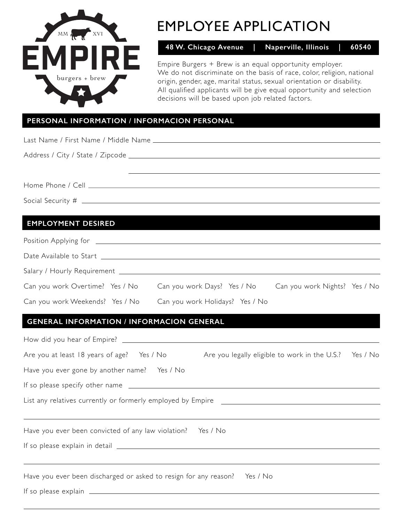

# EMPLOYEE APPLICATION

**48 W. Chicago Avenue | Naperville, Illinois | 60540**

Empire Burgers + Brew is an equal opportunity employer. We do not discriminate on the basis of race, color, religion, national origin, gender, age, marital status, sexual orientation or disability. All qualified applicants will be give equal opportunity and selection decisions will be based upon job related factors.

#### **PERSONAL INFORMATION / INFORMACION PERSONAL**

Last Name / First Name / Middle Name

Address / City / State / Zipcode

Home Phone / Cell

Social Security #

#### **EMPLOYMENT DESIRED**

| Position Applying for _________ |                                 |                               |  |
|---------------------------------|---------------------------------|-------------------------------|--|
|                                 |                                 |                               |  |
|                                 |                                 |                               |  |
| Can you work Overtime? Yes / No | Can you work Days? Yes / No     | Can you work Nights? Yes / No |  |
| Can you work Weekends? Yes / No | Can you work Holidays? Yes / No |                               |  |

#### **GENERAL INFORMATION / INFORMACION GENERAL**

| Are you at least 18 years of age? Yes / No Are you legally eligible to work in the U.S.? Yes / No |                                                                                                                                                                |
|---------------------------------------------------------------------------------------------------|----------------------------------------------------------------------------------------------------------------------------------------------------------------|
|                                                                                                   |                                                                                                                                                                |
|                                                                                                   |                                                                                                                                                                |
|                                                                                                   |                                                                                                                                                                |
|                                                                                                   |                                                                                                                                                                |
|                                                                                                   |                                                                                                                                                                |
|                                                                                                   |                                                                                                                                                                |
|                                                                                                   |                                                                                                                                                                |
|                                                                                                   | List any relatives currently or formerly employed by Empire _____________________<br>Have you ever been discharged or asked to resign for any reason? Yes / No |